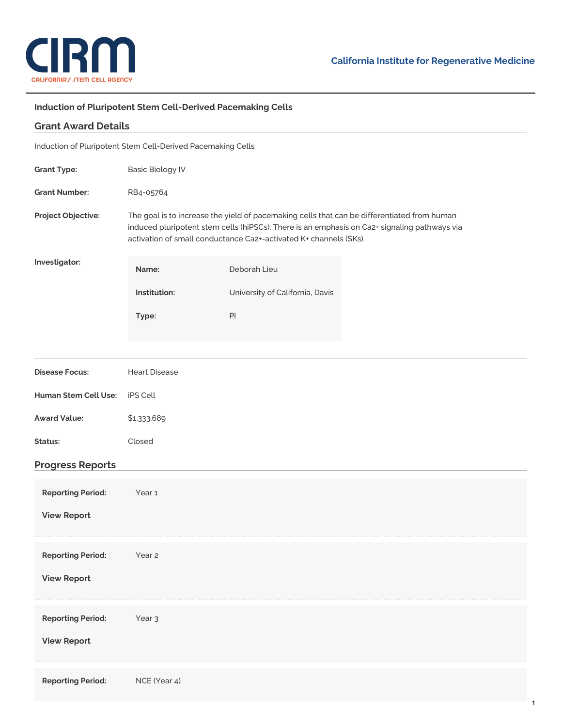

## **Induction of Pluripotent Stem Cell-Derived Pacemaking Cells**

| <b>Grant Award Details</b>                                  |                                                                                                                                                                                                                                                                  |                                 |  |
|-------------------------------------------------------------|------------------------------------------------------------------------------------------------------------------------------------------------------------------------------------------------------------------------------------------------------------------|---------------------------------|--|
| Induction of Pluripotent Stem Cell-Derived Pacemaking Cells |                                                                                                                                                                                                                                                                  |                                 |  |
| <b>Grant Type:</b>                                          | <b>Basic Biology IV</b>                                                                                                                                                                                                                                          |                                 |  |
| <b>Grant Number:</b>                                        | RB4-05764                                                                                                                                                                                                                                                        |                                 |  |
| Project Objective:                                          | The goal is to increase the yield of pacemaking cells that can be differentiated from human<br>induced pluripotent stem cells (hiPSCs). There is an emphasis on Ca2+ signaling pathways via<br>activation of small conductance Ca2+-activated K+ channels (SKs). |                                 |  |
| Investigator:                                               | Name:                                                                                                                                                                                                                                                            | Deborah Lieu                    |  |
|                                                             | Institution:                                                                                                                                                                                                                                                     | University of California, Davis |  |
|                                                             | Type:                                                                                                                                                                                                                                                            | PI                              |  |
|                                                             |                                                                                                                                                                                                                                                                  |                                 |  |
| <b>Disease Focus:</b>                                       | <b>Heart Disease</b>                                                                                                                                                                                                                                             |                                 |  |
| Human Stem Cell Use:                                        | iPS Cell                                                                                                                                                                                                                                                         |                                 |  |
| <b>Award Value:</b>                                         | \$1,333,689                                                                                                                                                                                                                                                      |                                 |  |
| Status:                                                     | Closed                                                                                                                                                                                                                                                           |                                 |  |
| <b>Progress Reports</b>                                     |                                                                                                                                                                                                                                                                  |                                 |  |
| <b>Reporting Period:</b>                                    | Year <sub>1</sub>                                                                                                                                                                                                                                                |                                 |  |
| <b>View Report</b>                                          |                                                                                                                                                                                                                                                                  |                                 |  |
|                                                             |                                                                                                                                                                                                                                                                  |                                 |  |
| <b>Reporting Period:</b>                                    | Year <sub>2</sub>                                                                                                                                                                                                                                                |                                 |  |
| <b>View Report</b>                                          |                                                                                                                                                                                                                                                                  |                                 |  |
| <b>Reporting Period:</b>                                    | Year <sub>3</sub>                                                                                                                                                                                                                                                |                                 |  |
| <b>View Report</b>                                          |                                                                                                                                                                                                                                                                  |                                 |  |
|                                                             |                                                                                                                                                                                                                                                                  |                                 |  |
| <b>Reporting Period:</b>                                    | NCE (Year 4)                                                                                                                                                                                                                                                     |                                 |  |